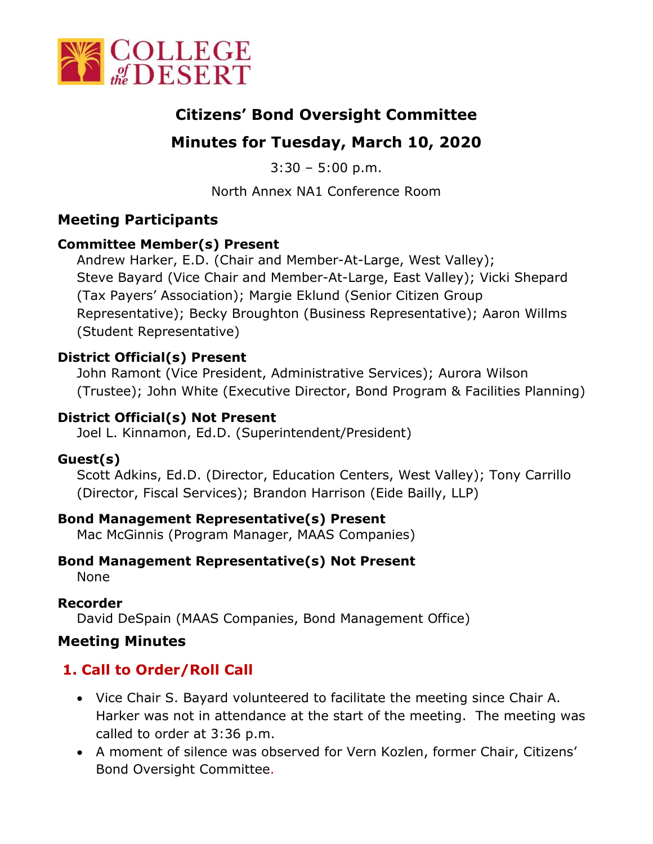

# **Citizens' Bond Oversight Committee**

# **Minutes for Tuesday, March 10, 2020**

 $3:30 - 5:00$  p.m.

North Annex NA1 Conference Room

## **Meeting Participants**

## **Committee Member(s) Present**

Andrew Harker, E.D. (Chair and Member-At-Large, West Valley); Steve Bayard (Vice Chair and Member-At-Large, East Valley); Vicki Shepard (Tax Payers' Association); Margie Eklund (Senior Citizen Group Representative); Becky Broughton (Business Representative); Aaron Willms (Student Representative)

## **District Official(s) Present**

John Ramont (Vice President, Administrative Services); Aurora Wilson (Trustee); John White (Executive Director, Bond Program & Facilities Planning)

## **District Official(s) Not Present**

Joel L. Kinnamon, Ed.D. (Superintendent/President)

## **Guest(s)**

Scott Adkins, Ed.D. (Director, Education Centers, West Valley); Tony Carrillo (Director, Fiscal Services); Brandon Harrison (Eide Bailly, LLP)

## **Bond Management Representative(s) Present**

Mac McGinnis (Program Manager, MAAS Companies)

## **Bond Management Representative(s) Not Present**

None

## **Recorder**

David DeSpain (MAAS Companies, Bond Management Office)

## **Meeting Minutes**

## **1. Call to Order/Roll Call**

- Vice Chair S. Bayard volunteered to facilitate the meeting since Chair A. Harker was not in attendance at the start of the meeting. The meeting was called to order at 3:36 p.m.
- A moment of silence was observed for Vern Kozlen, former Chair, Citizens' Bond Oversight Committee.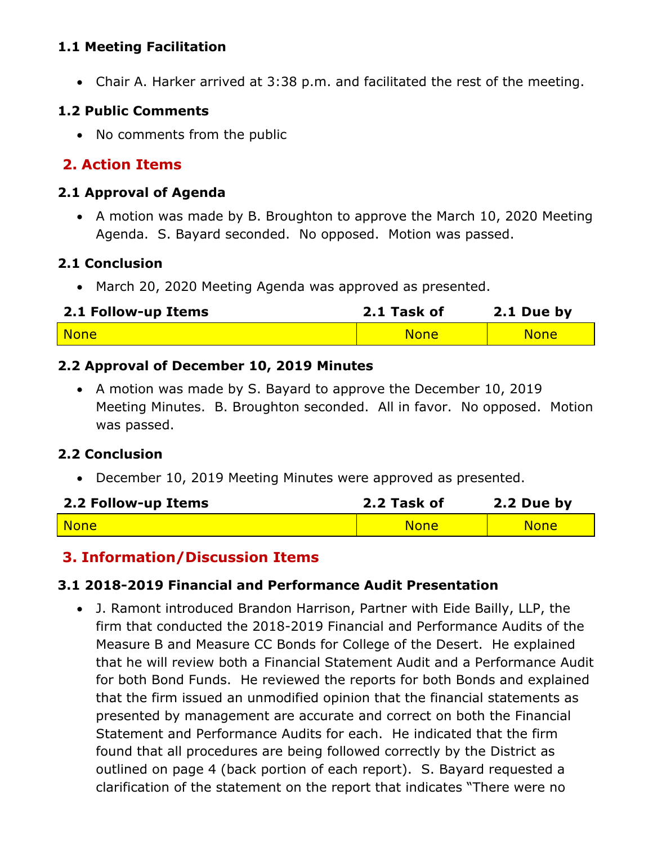#### **1.1 Meeting Facilitation**

Chair A. Harker arrived at 3:38 p.m. and facilitated the rest of the meeting.

#### **1.2 Public Comments**

• No comments from the public

## **2. Action Items**

#### **2.1 Approval of Agenda**

 A motion was made by B. Broughton to approve the March 10, 2020 Meeting Agenda. S. Bayard seconded. No opposed. Motion was passed.

#### **2.1 Conclusion**

March 20, 2020 Meeting Agenda was approved as presented.

| 2.1 Follow-up Items | 2.1 Task of | 2.1 Due by  |
|---------------------|-------------|-------------|
| <mark>l None</mark> | <b>None</b> | <b>None</b> |

#### **2.2 Approval of December 10, 2019 Minutes**

 A motion was made by S. Bayard to approve the December 10, 2019 Meeting Minutes. B. Broughton seconded. All in favor. No opposed. Motion was passed.

#### **2.2 Conclusion**

December 10, 2019 Meeting Minutes were approved as presented.

| 2.2 Follow-up Items | 2.2 Task of | 2.2 Due by  |
|---------------------|-------------|-------------|
| <b>None</b>         | <b>None</b> | <b>None</b> |

#### **3. Information/Discussion Items**

#### **3.1 2018-2019 Financial and Performance Audit Presentation**

 J. Ramont introduced Brandon Harrison, Partner with Eide Bailly, LLP, the firm that conducted the 2018-2019 Financial and Performance Audits of the Measure B and Measure CC Bonds for College of the Desert. He explained that he will review both a Financial Statement Audit and a Performance Audit for both Bond Funds. He reviewed the reports for both Bonds and explained that the firm issued an unmodified opinion that the financial statements as presented by management are accurate and correct on both the Financial Statement and Performance Audits for each. He indicated that the firm found that all procedures are being followed correctly by the District as outlined on page 4 (back portion of each report). S. Bayard requested a clarification of the statement on the report that indicates "There were no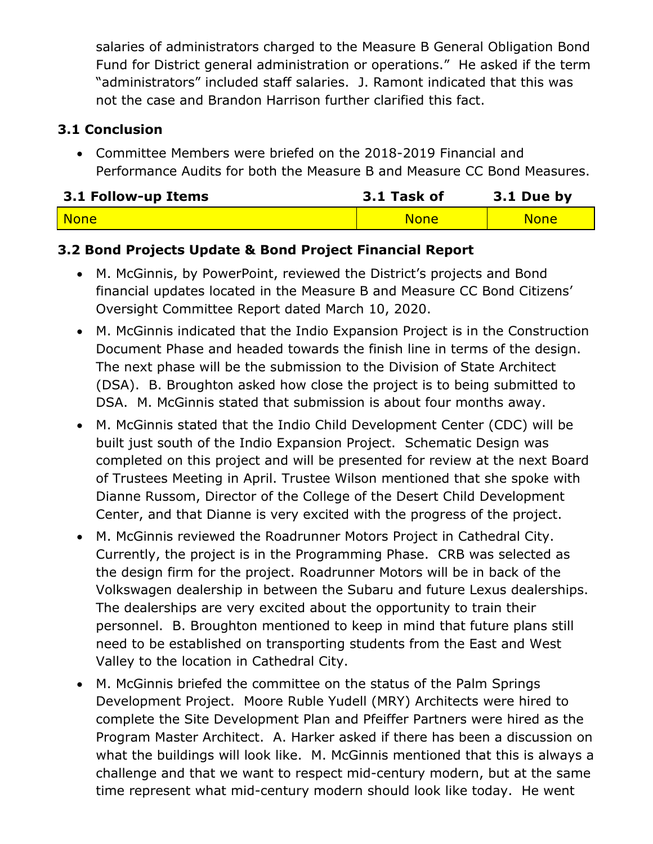salaries of administrators charged to the Measure B General Obligation Bond Fund for District general administration or operations." He asked if the term "administrators" included staff salaries. J. Ramont indicated that this was not the case and Brandon Harrison further clarified this fact.

### **3.1 Conclusion**

 Committee Members were briefed on the 2018-2019 Financial and Performance Audits for both the Measure B and Measure CC Bond Measures.

| 3.1 Follow-up Items | 3.1 Task of | 3.1 Due by  |
|---------------------|-------------|-------------|
| <b>None</b>         | <b>None</b> | <b>None</b> |

### **3.2 Bond Projects Update & Bond Project Financial Report**

- M. McGinnis, by PowerPoint, reviewed the District's projects and Bond financial updates located in the Measure B and Measure CC Bond Citizens' Oversight Committee Report dated March 10, 2020.
- M. McGinnis indicated that the Indio Expansion Project is in the Construction Document Phase and headed towards the finish line in terms of the design. The next phase will be the submission to the Division of State Architect (DSA). B. Broughton asked how close the project is to being submitted to DSA. M. McGinnis stated that submission is about four months away.
- M. McGinnis stated that the Indio Child Development Center (CDC) will be built just south of the Indio Expansion Project. Schematic Design was completed on this project and will be presented for review at the next Board of Trustees Meeting in April. Trustee Wilson mentioned that she spoke with Dianne Russom, Director of the College of the Desert Child Development Center, and that Dianne is very excited with the progress of the project.
- M. McGinnis reviewed the Roadrunner Motors Project in Cathedral City. Currently, the project is in the Programming Phase. CRB was selected as the design firm for the project. Roadrunner Motors will be in back of the Volkswagen dealership in between the Subaru and future Lexus dealerships. The dealerships are very excited about the opportunity to train their personnel. B. Broughton mentioned to keep in mind that future plans still need to be established on transporting students from the East and West Valley to the location in Cathedral City.
- M. McGinnis briefed the committee on the status of the Palm Springs Development Project. Moore Ruble Yudell (MRY) Architects were hired to complete the Site Development Plan and Pfeiffer Partners were hired as the Program Master Architect. A. Harker asked if there has been a discussion on what the buildings will look like. M. McGinnis mentioned that this is always a challenge and that we want to respect mid-century modern, but at the same time represent what mid-century modern should look like today. He went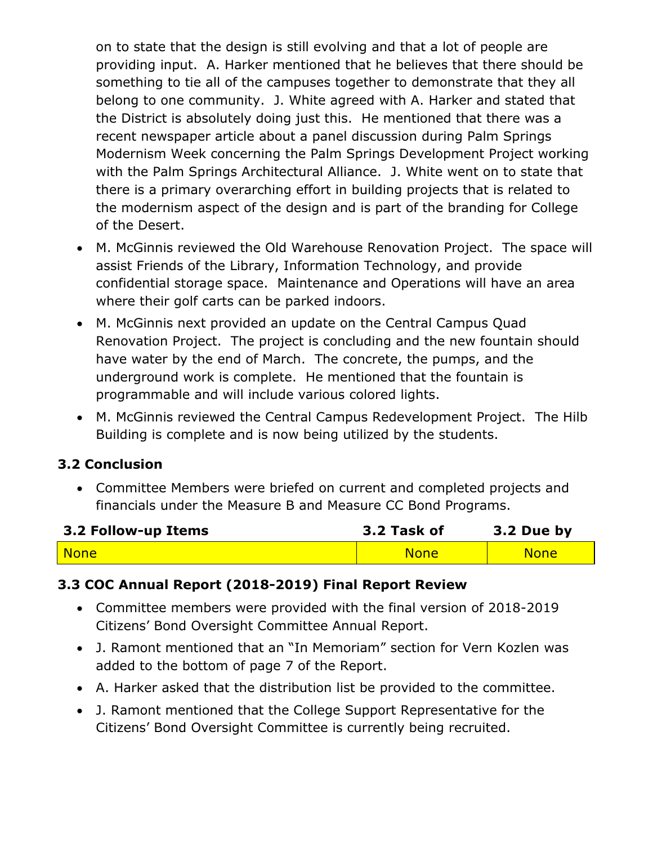on to state that the design is still evolving and that a lot of people are providing input. A. Harker mentioned that he believes that there should be something to tie all of the campuses together to demonstrate that they all belong to one community. J. White agreed with A. Harker and stated that the District is absolutely doing just this. He mentioned that there was a recent newspaper article about a panel discussion during Palm Springs Modernism Week concerning the Palm Springs Development Project working with the Palm Springs Architectural Alliance. J. White went on to state that there is a primary overarching effort in building projects that is related to the modernism aspect of the design and is part of the branding for College of the Desert.

- M. McGinnis reviewed the Old Warehouse Renovation Project. The space will assist Friends of the Library, Information Technology, and provide confidential storage space. Maintenance and Operations will have an area where their golf carts can be parked indoors.
- M. McGinnis next provided an update on the Central Campus Quad Renovation Project. The project is concluding and the new fountain should have water by the end of March. The concrete, the pumps, and the underground work is complete. He mentioned that the fountain is programmable and will include various colored lights.
- M. McGinnis reviewed the Central Campus Redevelopment Project. The Hilb Building is complete and is now being utilized by the students.

## **3.2 Conclusion**

 Committee Members were briefed on current and completed projects and financials under the Measure B and Measure CC Bond Programs.

| 3.2 Follow-up Items | 3.2 Task of | 3.2 Due by  |
|---------------------|-------------|-------------|
| <b>None</b>         | <b>None</b> | <b>None</b> |

## **3.3 COC Annual Report (2018-2019) Final Report Review**

- Committee members were provided with the final version of 2018-2019 Citizens' Bond Oversight Committee Annual Report.
- J. Ramont mentioned that an "In Memoriam" section for Vern Kozlen was added to the bottom of page 7 of the Report.
- A. Harker asked that the distribution list be provided to the committee.
- J. Ramont mentioned that the College Support Representative for the Citizens' Bond Oversight Committee is currently being recruited.